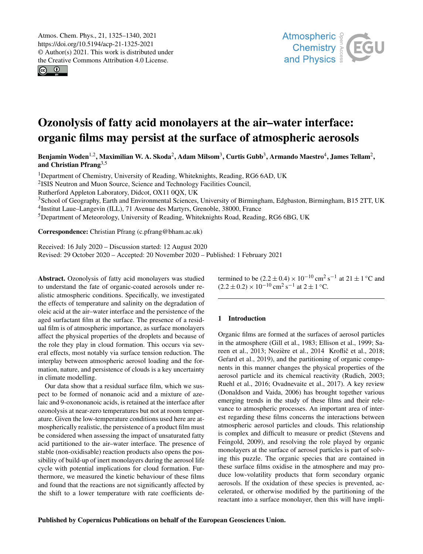$\circledcirc$ 



# Ozonolysis of fatty acid monolayers at the air–water interface: organic films may persist at the surface of atmospheric aerosols

Benjamin Woden $^{1,2}$  $^{1,2}$  $^{1,2}$ , Maximilian W. A. Skoda $^2$  $^2$ , Adam Milsom $^3$  $^3$ , Curtis Gubb $^3$ , Armando Maestro $^4$  $^4$ , James Tellam $^2$ , and Christian Pfrang $3,5$ 

<sup>1</sup>Department of Chemistry, University of Reading, Whiteknights, Reading, RG6 6AD, UK

<sup>2</sup>ISIS Neutron and Muon Source, Science and Technology Facilities Council,

Rutherford Appleton Laboratory, Didcot, OX11 0QX, UK

<sup>3</sup>School of Geography, Earth and Environmental Sciences, University of Birmingham, Edgbaston, Birmingham, B15 2TT, UK

4 Institut Laue–Langevin (ILL), 71 Avenue des Martyrs, Grenoble, 38000, France

<sup>5</sup>Department of Meteorology, University of Reading, Whiteknights Road, Reading, RG6 6BG, UK

Correspondence: Christian Pfrang (c.pfrang@bham.ac.uk)

Received: 16 July 2020 – Discussion started: 12 August 2020 Revised: 29 October 2020 – Accepted: 20 November 2020 – Published: 1 February 2021

<span id="page-0-0"></span>Abstract. Ozonolysis of fatty acid monolayers was studied to understand the fate of organic-coated aerosols under realistic atmospheric conditions. Specifically, we investigated the effects of temperature and salinity on the degradation of oleic acid at the air–water interface and the persistence of the aged surfactant film at the surface. The presence of a residual film is of atmospheric importance, as surface monolayers affect the physical properties of the droplets and because of the role they play in cloud formation. This occurs via several effects, most notably via surface tension reduction. The interplay between atmospheric aerosol loading and the formation, nature, and persistence of clouds is a key uncertainty in climate modelling.

Our data show that a residual surface film, which we suspect to be formed of nonanoic acid and a mixture of azelaic and 9-oxononanoic acids, is retained at the interface after ozonolysis at near-zero temperatures but not at room temperature. Given the low-temperature conditions used here are atmospherically realistic, the persistence of a product film must be considered when assessing the impact of unsaturated fatty acid partitioned to the air–water interface. The presence of stable (non-oxidisable) reaction products also opens the possibility of build-up of inert monolayers during the aerosol life cycle with potential implications for cloud formation. Furthermore, we measured the kinetic behaviour of these films and found that the reactions are not significantly affected by the shift to a lower temperature with rate coefficients determined to be  $(2.2 \pm 0.4) \times 10^{-10}$  cm<sup>2</sup> s<sup>-1</sup> at  $21 \pm 1$  °C and  $(2.2 \pm 0.2) \times 10^{-10}$  cm<sup>2</sup> s<sup>-1</sup> at 2 ± 1 °C.

## 1 Introduction

Organic films are formed at the surfaces of aerosol particles in the atmosphere (Gill et al., 1983; Ellison et al., 1999; Sareen et al., 2013; Nozière et al., 2014 Kroflič et al., 2018; Gefard et al., 2019), and the partitioning of organic components in this manner changes the physical properties of the aerosol particle and its chemical reactivity (Rudich, 2003; Ruehl et al., 2016; Ovadnevaite et al., 2017). A key review (Donaldson and Vaida, 2006) has brought together various emerging trends in the study of these films and their relevance to atmospheric processes. An important area of interest regarding these films concerns the interactions between atmospheric aerosol particles and clouds. This relationship is complex and difficult to measure or predict (Stevens and Feingold, 2009), and resolving the role played by organic monolayers at the surface of aerosol particles is part of solving this puzzle. The organic species that are contained in these surface films oxidise in the atmosphere and may produce low-volatility products that form secondary organic aerosols. If the oxidation of these species is prevented, accelerated, or otherwise modified by the partitioning of the reactant into a surface monolayer, then this will have impli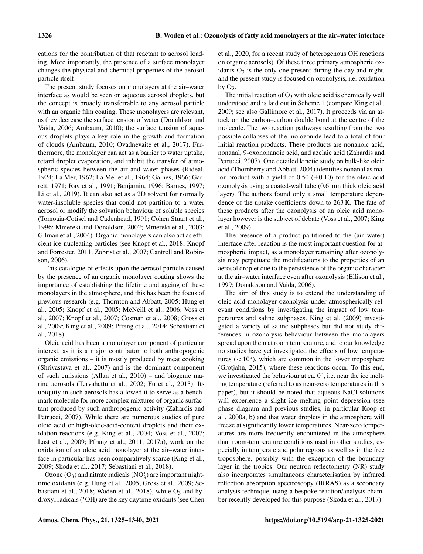cations for the contribution of that reactant to aerosol loading. More importantly, the presence of a surface monolayer changes the physical and chemical properties of the aerosol particle itself.

The present study focuses on monolayers at the air–water interface as would be seen on aqueous aerosol droplets, but the concept is broadly transferrable to any aerosol particle with an organic film coating. These monolayers are relevant, as they decrease the surface tension of water (Donaldson and Vaida, 2006; Ambaum, 2010); the surface tension of aqueous droplets plays a key role in the growth and formation of clouds (Ambaum, 2010; Ovadnevaite et al., 2017). Furthermore, the monolayer can act as a barrier to water uptake, retard droplet evaporation, and inhibit the transfer of atmospheric species between the air and water phases (Rideal, 1924; La Mer, 1962; La Mer et al., 1964; Gaines, 1966; Garrett, 1971; Ray et al., 1991; Benjamin, 1996; Barnes, 1997; Li et al., 2019). It can also act as a 2D solvent for normally water-insoluble species that could not partition to a water aerosol or modify the solvation behaviour of soluble species (Tomoaia-Cotisel and Cadenhead, 1991; Cohen Stuart et al., 1996; Mmereki and Donaldson, 2002; Mmereki et al., 2003; Gilman et al., 2004). Organic monolayers can also act as efficient ice-nucleating particles (see Knopf et al., 2018; Knopf and Forrester, 2011; Zobrist et al., 2007; Cantrell and Robinson, 2006).

This catalogue of effects upon the aerosol particle caused by the presence of an organic monolayer coating shows the importance of establishing the lifetime and ageing of these monolayers in the atmosphere, and this has been the focus of previous research (e.g. Thornton and Abbatt, 2005; Hung et al., 2005; Knopf et al., 2005; McNeill et al., 2006; Voss et al., 2007; Knopf et al., 2007; Cosman et al., 2008; Gross et al., 2009; King et al., 2009; Pfrang et al., 2014; Sebastiani et al., 2018).

Oleic acid has been a monolayer component of particular interest, as it is a major contributor to both anthropogenic organic emissions – it is mostly produced by meat cooking (Shrivastava et al., 2007) and is the dominant component of such emissions (Allan et al., 2010) – and biogenic marine aerosols (Tervahattu et al., 2002; Fu et al., 2013). Its ubiquity in such aerosols has allowed it to serve as a benchmark molecule for more complex mixtures of organic surfactant produced by such anthropogenic activity (Zahardis and Petrucci, 2007). While there are numerous studies of pure oleic acid or high-oleic-acid-content droplets and their oxidation reactions (e.g. King et al., 2004; Voss et al., 2007; Last et al., 2009; Pfrang et al., 2011, 2017a), work on the oxidation of an oleic acid monolayer at the air–water interface in particular has been comparatively scarce (King et al., 2009; Skoda et al., 2017; Sebastiani et al., 2018).

Ozone  $(O_3)$  and nitrate radicals  $(NO_3^{\bullet})$  are important nighttime oxidants (e.g. Hung et al., 2005; Gross et al., 2009; Sebastiani et al., 2018; Woden et al., 2018), while  $O_3$  and hydroxyl radicals ('OH) are the key daytime oxidants (see Chen

et al., 2020, for a recent study of heterogenous OH reactions on organic aerosols). Of these three primary atmospheric oxidants  $O_3$  is the only one present during the day and night, and the present study is focused on ozonolysis, i.e. oxidation by  $O_3$ .

The initial reaction of  $O_3$  with oleic acid is chemically well understood and is laid out in Scheme 1 (compare King et al., 2009; see also Gallimore et al., 2017). It proceeds via an attack on the carbon–carbon double bond at the centre of the molecule. The two reaction pathways resulting from the two possible collapses of the molozonide lead to a total of four initial reaction products. These products are nonanoic acid, nonanal, 9-oxononanoic acid, and azelaic acid (Zahardis and Petrucci, 2007). One detailed kinetic study on bulk-like oleic acid (Thornberry and Abbatt, 2004) identifies nonanal as major product with a yield of  $0.50$  ( $\pm 0.10$ ) for the oleic acid ozonolysis using a coated-wall tube (0.6 mm thick oleic acid layer). The authors found only a small temperature dependence of the uptake coefficients down to 263 K. The fate of these products after the ozonolysis of an oleic acid monolayer however is the subject of debate (Voss et al., 2007; King et al., 2009).

The presence of a product partitioned to the (air–water) interface after reaction is the most important question for atmospheric impact, as a monolayer remaining after ozonolysis may perpetuate the modifications to the properties of an aerosol droplet due to the persistence of the organic character at the air–water interface even after ozonolysis (Ellison et al., 1999; Donaldson and Vaida, 2006).

The aim of this study is to extend the understanding of oleic acid monolayer ozonolysis under atmospherically relevant conditions by investigating the impact of low temperatures and saline subphases. King et al. (2009) investigated a variety of saline subphases but did not study differences in ozonolysis behaviour between the monolayers spread upon them at room temperature, and to our knowledge no studies have yet investigated the effects of low temperatures  $(< 10°)$ , which are common in the lower troposphere (Grotjahn, 2015), where these reactions occur. To this end, we investigated the behaviour at ca. 0°, i.e. near the ice melting temperature (referred to as near-zero temperatures in this paper), but it should be noted that aqueous NaCl solutions will experience a slight ice melting point depression (see phase diagram and previous studies, in particular Koop et al., 2000a, b) and that water droplets in the atmosphere will freeze at significantly lower temperatures. Near-zero temperatures are more frequently encountered in the atmosphere than room-temperature conditions used in other studies, especially in temperate and polar regions as well as in the free troposphere, possibly with the exception of the boundary layer in the tropics. Our neutron reflectometry (NR) study also incorporates simultaneous characterisation by infrared reflection absorption spectroscopy (IRRAS) as a secondary analysis technique, using a bespoke reaction/analysis chamber recently developed for this purpose (Skoda et al., 2017).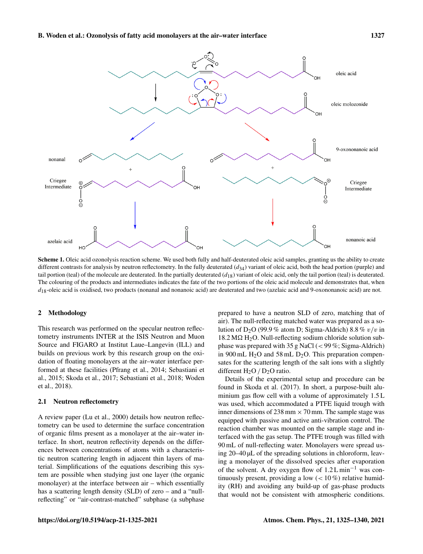

Scheme 1. Oleic acid ozonolysis reaction scheme. We used both fully and half-deuterated oleic acid samples, granting us the ability to create different contrasts for analysis by neutron reflectometry. In the fully deuterated  $(d_{34})$  variant of oleic acid, both the head portion (purple) and tail portion (teal) of the molecule are deuterated. In the partially deuterated  $(d_{18})$  variant of oleic acid, only the tail portion (teal) is deuterated. The colouring of the products and intermediates indicates the fate of the two portions of the oleic acid molecule and demonstrates that, when  $d_{18}$ -oleic acid is oxidised, two products (nonanal and nonanoic acid) are deuterated and two (azelaic acid and 9-oxononanoic acid) are not.

#### 2 Methodology

This research was performed on the specular neutron reflectometry instruments INTER at the ISIS Neutron and Muon Source and FIGARO at Institut Laue–Langevin (ILL) and builds on previous work by this research group on the oxidation of floating monolayers at the air–water interface performed at these facilities (Pfrang et al., 2014; Sebastiani et al., 2015; Skoda et al., 2017; Sebastiani et al., 2018; Woden et al., 2018).

## 2.1 Neutron reflectometry

A review paper (Lu et al., 2000) details how neutron reflectometry can be used to determine the surface concentration of organic films present as a monolayer at the air–water interface. In short, neutron reflectivity depends on the differences between concentrations of atoms with a characteristic neutron scattering length in adjacent thin layers of material. Simplifications of the equations describing this system are possible when studying just one layer (the organic monolayer) at the interface between air – which essentially has a scattering length density (SLD) of zero – and a "nullreflecting" or "air-contrast-matched" subphase (a subphase prepared to have a neutron SLD of zero, matching that of air). The null-reflecting matched water was prepared as a solution of D<sub>2</sub>O (99.9 % atom D; Sigma-Aldrich) 8.8 %  $v/v$  in  $18.2 \text{ M}\Omega$  H<sub>2</sub>O. Null-reflecting sodium chloride solution subphase was prepared with 35 g NaCl  $(< 99\%$ ; Sigma-Aldrich) in 900 mL  $H_2O$  and 58 mL D<sub>2</sub>O. This preparation compensates for the scattering length of the salt ions with a slightly different  $H_2O/D_2O$  ratio.

Details of the experimental setup and procedure can be found in Skoda et al. (2017). In short, a purpose-built aluminium gas flow cell with a volume of approximately 1.5 L was used, which accommodated a PTFE liquid trough with inner dimensions of 238 mm  $\times$  70 mm. The sample stage was equipped with passive and active anti-vibration control. The reaction chamber was mounted on the sample stage and interfaced with the gas setup. The PTFE trough was filled with 90 mL of null-reflecting water. Monolayers were spread using 20–40 µL of the spreading solutions in chloroform, leaving a monolayer of the dissolved species after evaporation of the solvent. A dry oxygen flow of 1.2 L min−<sup>1</sup> was continuously present, providing a low  $(< 10\%)$  relative humidity (RH) and avoiding any build-up of gas-phase products that would not be consistent with atmospheric conditions.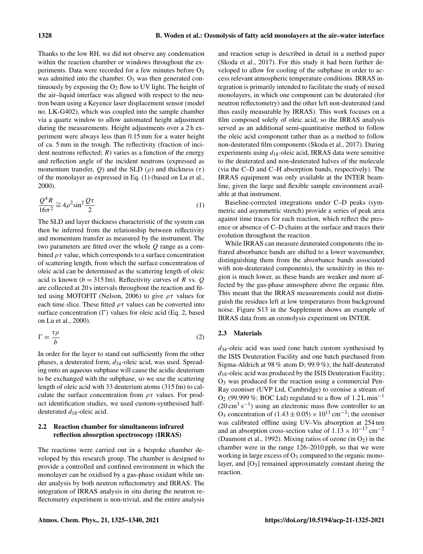Thanks to the low RH, we did not observe any condensation within the reaction chamber or windows throughout the experiments. Data were recorded for a few minutes before  $O_3$ was admitted into the chamber.  $O_3$  was then generated continuously by exposing the  $O_2$  flow to UV light. The height of the air–liquid interface was aligned with respect to the neutron beam using a Keyence laser displacement sensor (model no. LK-G402), which was coupled into the sample chamber via a quartz window to allow automated height adjustment during the measurements. Height adjustments over a 2 h experiment were always less than 0.15 mm for a water height of ca. 5 mm in the trough. The reflectivity (fraction of incident neutrons reflected;  $R$ ) varies as a function of the energy and reflection angle of the incident neutrons (expressed as momentum transfer, Q) and the SLD ( $\rho$ ) and thickness ( $\tau$ ) of the monolayer as expressed in Eq. (1) (based on Lu et al., 2000).

$$
\frac{Q^4 R}{16\pi^2} \cong 4\rho^2 \sin^2 \frac{Q\tau}{2}
$$
 (1)

The SLD and layer thickness characteristic of the system can then be inferred from the relationship between reflectivity and momentum transfer as measured by the instrument. The two parameters are fitted over the whole  $Q$  range as a combined  $\rho \tau$  value, which corresponds to a surface concentration of scattering length, from which the surface concentration of oleic acid can be determined as the scattering length of oleic acid is known ( $b = 315$  fm). Reflectivity curves of R vs. Q are collected at 20 s intervals throughout the reaction and fitted using MOTOFIT (Nelson, 2006) to give  $\rho\tau$  values for each time slice. These fitted  $\rho \tau$  values can be converted into surface concentration  $(\Gamma)$  values for oleic acid (Eq. 2, based on Lu et al., 2000).

$$
\Gamma = \frac{\tau \rho}{b} \tag{2}
$$

In order for the layer to stand out sufficiently from the other phases, a deuterated form,  $d_{34}$ -oleic acid, was used. Spreading onto an aqueous subphase will cause the acidic deuterium to be exchanged with the subphase, so we use the scattering length of oleic acid with 33 deuterium atoms (315 fm) to calculate the surface concentration from  $\rho \tau$  values. For product identification studies, we used custom-synthesised halfdeuterated  $d_{18}$ -oleic acid.

# 2.2 Reaction chamber for simultaneous infrared reflection absorption spectroscopy (IRRAS)

The reactions were carried out in a bespoke chamber developed by this research group. The chamber is designed to provide a controlled and confined environment in which the monolayer can be oxidised by a gas-phase oxidant while under analysis by both neutron reflectometry and IRRAS. The integration of IRRAS analysis in situ during the neutron reflectometry experiment is non-trivial, and the entire analysis and reaction setup is described in detail in a method paper (Skoda et al., 2017). For this study it had been further developed to allow for cooling of the subphase in order to access relevant atmospheric temperature conditions. IRRAS integration is primarily intended to facilitate the study of mixed monolayers, in which one component can be deuterated (for neutron reflectometry) and the other left non-deuterated (and thus easily measurable by IRRAS). This work focuses on a film composed solely of oleic acid, so the IRRAS analysis served as an additional semi-quantitative method to follow the oleic acid component rather than as a method to follow non-deuterated film components (Skoda et al., 2017). During experiments using  $d_{18}$ -oleic acid, IRRAS data were sensitive to the deuterated and non-deuterated halves of the molecule (via the C–D and C–H absorption bands, respectively). The IRRAS equipment was only available at the INTER beamline, given the large and flexible sample environment available at that instrument.

Baseline-corrected integrations under C–D peaks (symmetric and asymmetric stretch) provide a series of peak area against time traces for each reaction, which reflect the presence or absence of C–D chains at the surface and traces their evolution throughout the reaction.

While IRRAS can measure deuterated components (the infrared absorbance bands are shifted to a lower wavenumber, distinguishing them from the absorbance bands associated with non-deuterated components), the sensitivity in this region is much lower, as these bands are weaker and more affected by the gas-phase atmosphere above the organic film. This meant that the IRRAS measurements could not distinguish the residues left at low temperatures from background noise. Figure S13 in the Supplement shows an example of IRRAS data from an ozonolysis experiment on INTER.

## 2.3 Materials

 $d_{34}$ -oleic acid was used (one batch custom synthesised by the ISIS Deuteration Facility and one batch purchased from Sigma-Aldrich at 98 % atom D; 99.9 %); the half-deuterated  $d_{18}$ -oleic acid was produced by the ISIS Deuteration Facility;  $O<sub>3</sub>$  was produced for the reaction using a commercial Pen-Ray ozoniser (UVP Ltd, Cambridge) to ozonise a stream of O<sub>2</sub> (99.999 %; BOC Ltd) regulated to a flow of  $1.2 \text{ L min}^{-1}$  $(20 \text{ cm}^3 \text{ s}^{-1})$  using an electronic mass flow controller to an O<sub>3</sub> concentration of  $(1.43 \pm 0.05) \times 10^{13}$  cm<sup>-3</sup>; the ozoniser was calibrated offline using UV–Vis absorption at 254 nm and an absorption cross-section value of  $1.13 \times 10^{-17}$  cm<sup>-2</sup> (Daumont et al., 1992). Mixing ratios of ozone (in  $O_2$ ) in the chamber were in the range 126–2010 ppb, so that we were working in large excess of  $O_3$  compared to the organic monolayer, and  $[O_3]$  remained approximately constant during the reaction.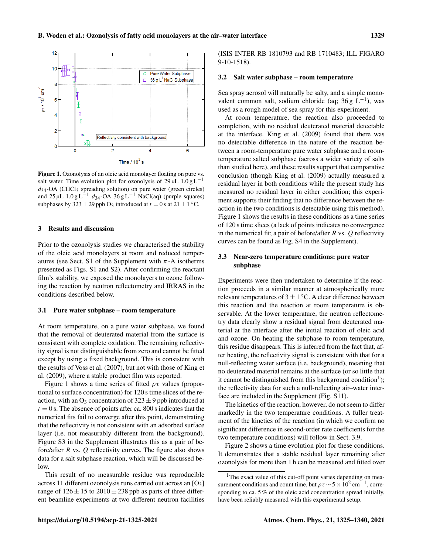

Figure 1. Ozonolysis of an oleic acid monolayer floating on pure vs. salt water. Time evolution plot for ozonolysis of  $29 \mu L$  1.0 g L<sup>-1</sup>  $d_{34}$ -OA (CHCl<sub>3</sub> spreading solution) on pure water (green circles) and  $25 \mu L$  1.0 g L<sup>-1</sup> d<sub>34</sub>-OA 36 g L<sup>-1</sup> NaCl(aq) (purple squares) subphases by  $323 \pm 29$  ppb O<sub>3</sub> introduced at  $t = 0$  s at  $21 \pm 1$  °C.

# 3 Results and discussion

Prior to the ozonolysis studies we characterised the stability of the oleic acid monolayers at room and reduced temperatures (see Sect. S1 of the Supplement with  $\pi$ -A isotherms presented as Figs. S1 and S2). After confirming the reactant film's stability, we exposed the monolayers to ozone following the reaction by neutron reflectometry and IRRAS in the conditions described below.

## 3.1 Pure water subphase – room temperature

At room temperature, on a pure water subphase, we found that the removal of deuterated material from the surface is consistent with complete oxidation. The remaining reflectivity signal is not distinguishable from zero and cannot be fitted except by using a fixed background. This is consistent with the results of Voss et al. (2007), but not with those of King et al. (2009), where a stable product film was reported.

Figure 1 shows a time series of fitted  $\rho \tau$  values (proportional to surface concentration) for 120 s time slices of the reaction, with an  $O_3$  concentration of  $323 \pm 9$  ppb introduced at  $t = 0$  s. The absence of points after ca. 800 s indicates that the numerical fits fail to converge after this point, demonstrating that the reflectivity is not consistent with an adsorbed surface layer (i.e. not measurably different from the background). Figure S3 in the Supplement illustrates this as a pair of before/after  $R$  vs.  $Q$  reflectivity curves. The figure also shows data for a salt subphase reaction, which will be discussed below.

This result of no measurable residue was reproducible across 11 different ozonolysis runs carried out across an [O3] range of  $126 \pm 15$  to  $2010 \pm 238$  ppb as parts of three different beamline experiments at two different neutron facilities (ISIS INTER RB 1810793 and RB 1710483; ILL FIGARO 9-10-1518).

#### 3.2 Salt water subphase – room temperature

Sea spray aerosol will naturally be salty, and a simple monovalent common salt, sodium chloride (aq; 36 g L<sup>-1</sup>), was used as a rough model of sea spray for this experiment.

At room temperature, the reaction also proceeded to completion, with no residual deuterated material detectable at the interface. King et al. (2009) found that there was no detectable difference in the nature of the reaction between a room-temperature pure water subphase and a roomtemperature salted subphase (across a wider variety of salts than studied here), and these results support that comparative conclusion (though King et al. (2009) actually measured a residual layer in both conditions while the present study has measured no residual layer in either condition; this experiment supports their finding that no difference between the reaction in the two conditions is detectable using this method). Figure 1 shows the results in these conditions as a time series of 120 s time slices (a lack of points indicates no convergence in the numerical fit; a pair of before/after  $R$  vs.  $O$  reflectivity curves can be found as Fig. S4 in the Supplement).

# 3.3 Near-zero temperature conditions: pure water subphase

Experiments were then undertaken to determine if the reaction proceeds in a similar manner at atmospherically more relevant temperatures of  $3 \pm 1$  °C. A clear difference between this reaction and the reaction at room temperature is observable. At the lower temperature, the neutron reflectometry data clearly show a residual signal from deuterated material at the interface after the initial reaction of oleic acid and ozone. On heating the subphase to room temperature, this residue disappears. This is inferred from the fact that, after heating, the reflectivity signal is consistent with that for a null-reflecting water surface (i.e. background), meaning that no deuterated material remains at the surface (or so little that it cannot be distinguished from this background condition<sup>[1](#page-4-0)</sup>); the reflectivity data for such a null-reflecting air–water interface are included in the Supplement (Fig. S11).

The kinetics of the reaction, however, do not seem to differ markedly in the two temperature conditions. A fuller treatment of the kinetics of the reaction (in which we confirm no significant difference in second-order rate coefficients for the two temperature conditions) will follow in Sect. 3.9.

Figure 2 shows a time evolution plot for these conditions. It demonstrates that a stable residual layer remaining after ozonolysis for more than 1 h can be measured and fitted over

<span id="page-4-0"></span><sup>&</sup>lt;sup>1</sup>The exact value of this cut-off point varies depending on measurement conditions and count time, but  $\rho \tau \sim 5 \times 10^2 \text{ cm}^{-1}$ , corresponding to ca. 5% of the oleic acid concentration spread initially, have been reliably measured with this experimental setup.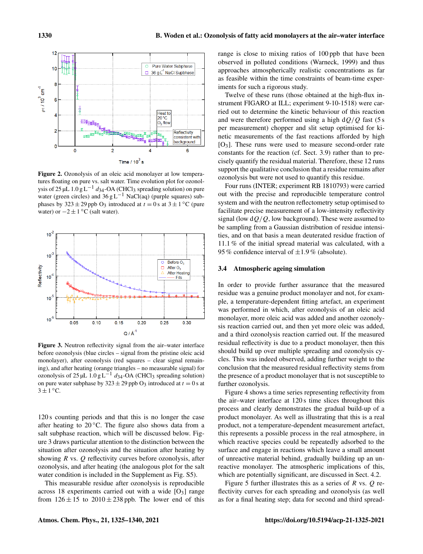

Figure 2. Ozonolysis of an oleic acid monolayer at low temperatures floating on pure vs. salt water. Time evolution plot for ozonolysis of 25 µL 1.0 g L<sup>-1</sup>  $d_{34}$ -OA (CHCl<sub>3</sub> spreading solution) on pure water (green circles) and  $36 \text{ g L}^{-1}$  NaCl(aq) (purple squares) subphases by  $323 \pm 29$  ppb O<sub>3</sub> introduced at  $t = 0$  s at  $3 \pm 1$  °C (pure water) or  $-2 \pm 1$  °C (salt water).



Figure 3. Neutron reflectivity signal from the air–water interface before ozonolysis (blue circles – signal from the pristine oleic acid monolayer), after ozonolysis (red squares – clear signal remaining), and after heating (orange triangles – no measurable signal) for ozonolysis of 25 µL  $1.0 g L^{-1} d_{34}$ -OA (CHCl<sub>3</sub> spreading solution) on pure water subphase by  $323 \pm 29$  ppb O<sub>3</sub> introduced at  $t = 0$  s at  $3 \pm 1$  °C.

120 s counting periods and that this is no longer the case after heating to  $20^{\circ}$ C. The figure also shows data from a salt subphase reaction, which will be discussed below. Figure 3 draws particular attention to the distinction between the situation after ozonolysis and the situation after heating by showing  $R$  vs.  $Q$  reflectivity curves before ozonolysis, after ozonolysis, and after heating (the analogous plot for the salt water condition is included in the Supplement as Fig. S5).

This measurable residue after ozonolysis is reproducible across 18 experiments carried out with a wide  $[O<sub>3</sub>]$  range from  $126 \pm 15$  to  $2010 \pm 238$  ppb. The lower end of this range is close to mixing ratios of 100 ppb that have been observed in polluted conditions (Warneck, 1999) and thus approaches atmospherically realistic concentrations as far as feasible within the time constraints of beam-time experiments for such a rigorous study.

Twelve of these runs (those obtained at the high-flux instrument FIGARO at ILL; experiment 9-10-1518) were carried out to determine the kinetic behaviour of this reaction and were therefore performed using a high  $dO/O$  fast (5 s) per measurement) chopper and slit setup optimised for kinetic measurements of the fast reactions afforded by high  $[O_3]$ . These runs were used to measure second-order rate constants for the reaction (cf. Sect. 3.9) rather than to precisely quantify the residual material. Therefore, these 12 runs support the qualitative conclusion that a residue remains after ozonolysis but were not used to quantify this residue.

Four runs (INTER; experiment RB 1810793) were carried out with the precise and reproducible temperature control system and with the neutron reflectometry setup optimised to facilitate precise measurement of a low-intensity reflectivity signal (low  $dQ/Q$ , low background). These were assumed to be sampling from a Gaussian distribution of residue intensities, and on that basis a mean deuterated residue fraction of 11.1 % of the initial spread material was calculated, with a 95 % confidence interval of  $\pm 1.9$  % (absolute).

#### 3.4 Atmospheric ageing simulation

In order to provide further assurance that the measured residue was a genuine product monolayer and not, for example, a temperature-dependent fitting artefact, an experiment was performed in which, after ozonolysis of an oleic acid monolayer, more oleic acid was added and another ozonolysis reaction carried out, and then yet more oleic was added, and a third ozonolysis reaction carried out. If the measured residual reflectivity is due to a product monolayer, then this should build up over multiple spreading and ozonolysis cycles. This was indeed observed, adding further weight to the conclusion that the measured residual reflectivity stems from the presence of a product monolayer that is not susceptible to further ozonolysis.

Figure 4 shows a time series representing reflectivity from the air–water interface at 120 s time slices throughout this process and clearly demonstrates the gradual build-up of a product monolayer. As well as illustrating that this is a real product, not a temperature-dependent measurement artefact, this represents a possible process in the real atmosphere, in which reactive species could be repeatedly adsorbed to the surface and engage in reactions which leave a small amount of unreactive material behind, gradually building up an unreactive monolayer. The atmospheric implications of this, which are potentially significant, are discussed in Sect. 4.2.

Figure 5 further illustrates this as a series of R vs.  $Q$  reflectivity curves for each spreading and ozonolysis (as well as for a final heating step; data for second and third spread-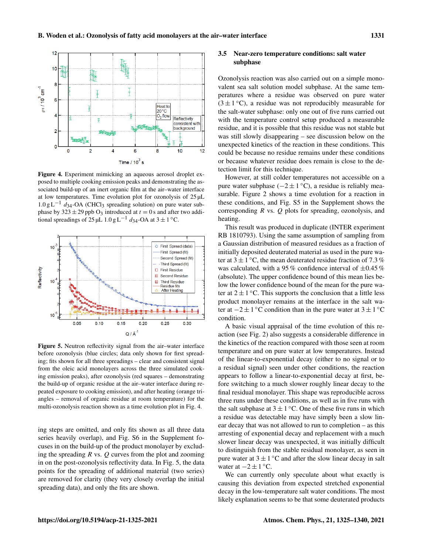

Figure 4. Experiment mimicking an aqueous aerosol droplet exposed to multiple cooking emission peaks and demonstrating the associated build-up of an inert organic film at the air–water interface at low temperatures. Time evolution plot for ozonolysis of  $25 \mu L$  $1.0 g L^{-1}$  d<sub>34</sub>-OA (CHCl<sub>3</sub> spreading solution) on pure water subphase by 323  $\pm$  29 ppb O<sub>3</sub> introduced at  $t = 0$  s and after two additional spreadings of 25 µL 1.0 g L<sup>-1</sup>  $d_{34}$ -OA at 3 ± 1 °C.



Figure 5. Neutron reflectivity signal from the air–water interface before ozonolysis (blue circles; data only shown for first spreading; fits shown for all three spreadings – clear and consistent signal from the oleic acid monolayers across the three simulated cooking emission peaks), after ozonolysis (red squares – demonstrating the build-up of organic residue at the air–water interface during repeated exposure to cooking emission), and after heating (orange triangles – removal of organic residue at room temperature) for the multi-ozonolysis reaction shown as a time evolution plot in Fig. 4.

ing steps are omitted, and only fits shown as all three data series heavily overlap), and Fig. S6 in the Supplement focuses in on the build-up of the product monolayer by excluding the spreading  $R$  vs.  $Q$  curves from the plot and zooming in on the post-ozonolysis reflectivity data. In Fig. 5, the data points for the spreading of additional material (two series) are removed for clarity (they very closely overlap the initial spreading data), and only the fits are shown.

## 3.5 Near-zero temperature conditions: salt water subphase

Ozonolysis reaction was also carried out on a simple monovalent sea salt solution model subphase. At the same temperatures where a residue was observed on pure water  $(3 \pm 1^{\circ}C)$ , a residue was not reproducibly measurable for the salt-water subphase: only one out of five runs carried out with the temperature control setup produced a measurable residue, and it is possible that this residue was not stable but was still slowly disappearing – see discussion below on the unexpected kinetics of the reaction in these conditions. This could be because no residue remains under these conditions or because whatever residue does remain is close to the detection limit for this technique.

However, at still colder temperatures not accessible on a pure water subphase  $(-2 \pm 1^{\circ}C)$ , a residue is reliably measurable. Figure 2 shows a time evolution for a reaction in these conditions, and Fig. S5 in the Supplement shows the corresponding  $R$  vs.  $Q$  plots for spreading, ozonolysis, and heating.

This result was produced in duplicate (INTER experiment RB 1810793). Using the same assumption of sampling from a Gaussian distribution of measured residues as a fraction of initially deposited deuterated material as used in the pure water at  $3 \pm 1$  °C, the mean deuterated residue fraction of 7.3 % was calculated, with a 95 % confidence interval of  $\pm 0.45$  % (absolute). The upper confidence bound of this mean lies below the lower confidence bound of the mean for the pure water at  $2 \pm 1$  °C. This supports the conclusion that a little less product monolayer remains at the interface in the salt water at  $-2 \pm 1$  °C condition than in the pure water at  $3 \pm 1$  °C condition.

A basic visual appraisal of the time evolution of this reaction (see Fig. 2) also suggests a considerable difference in the kinetics of the reaction compared with those seen at room temperature and on pure water at low temperatures. Instead of the linear-to-exponential decay (either to no signal or to a residual signal) seen under other conditions, the reaction appears to follow a linear-to-exponential decay at first, before switching to a much slower roughly linear decay to the final residual monolayer. This shape was reproducible across three runs under these conditions, as well as in five runs with the salt subphase at  $3 \pm 1$  °C. One of these five runs in which a residue was detectable may have simply been a slow linear decay that was not allowed to run to completion – as this arresting of exponential decay and replacement with a much slower linear decay was unexpected, it was initially difficult to distinguish from the stable residual monolayer, as seen in pure water at  $3 \pm 1$  °C and after the slow linear decay in salt water at  $-2 \pm 1$  °C.

We can currently only speculate about what exactly is causing this deviation from expected stretched exponential decay in the low-temperature salt water conditions. The most likely explanation seems to be that some deuterated products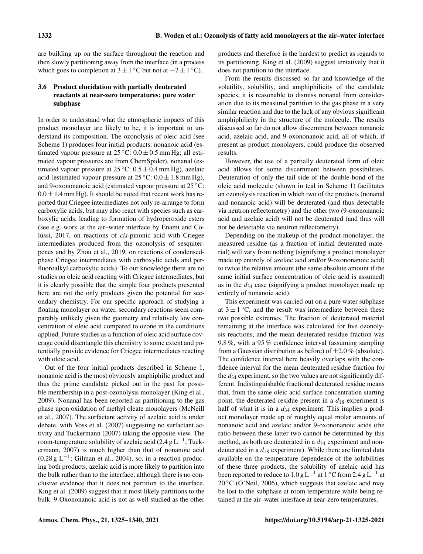are building up on the surface throughout the reaction and then slowly partitioning away from the interface (in a process which goes to completion at  $3 \pm 1$  °C but not at  $-2 \pm 1$  °C).

# 3.6 Product elucidation with partially deuterated reactants at near-zero temperatures: pure water subphase

In order to understand what the atmospheric impacts of this product monolayer are likely to be, it is important to understand its composition. The ozonolysis of oleic acid (see Scheme 1) produces four initial products: nonanoic acid (estimated vapour pressure at  $25^{\circ}$ C:  $0.0 \pm 0.5$  mm Hg; all estimated vapour pressures are from ChemSpider), nonanal (estimated vapour pressure at  $25^{\circ}$ C:  $0.5 \pm 0.4$  mm Hg), azelaic acid (estimated vapour pressure at  $25^{\circ}$ C:  $0.0 \pm 1.8$  mm Hg), and 9-oxononanoic acid (estimated vapour pressure at 25 °C:  $0.0 \pm 1.4$  mm Hg). It should be noted that recent work has reported that Criegee intermediates not only re-arrange to form carboxylic acids, but may also react with species such as carboxylic acids, leading to formation of hydroperoxide esters (see e.g. work at the air–water interface by Enami and Colussi, 2017, on reactions of *cis*-pinonic acid with Criegee intermediates produced from the ozonolysis of sesquiterpenes and by Zhou et al., 2019, on reactions of condensedphase Criegee intermediates with carboxylic acids and perfluoroalkyl carboxylic acids). To our knowledge there are no studies on oleic acid reacting with Criegee intermediates, but it is clearly possible that the simple four products presented here are not the only products given the potential for secondary chemistry. For our specific approach of studying a floating monolayer on water, secondary reactions seem comparably unlikely given the geometry and relatively low concentration of oleic acid compared to ozone in the conditions applied. Future studies as a function of oleic acid surface coverage could disentangle this chemistry to some extent and potentially provide evidence for Criegee intermediates reacting with oleic acid.

Out of the four initial products described in Scheme 1, nonanoic acid is the most obviously amphiphilic product and thus the prime candidate picked out in the past for possible membership in a post-ozonolysis monolayer (King et al., 2009). Nonanal has been reported as partitioning to the gas phase upon oxidation of methyl oleate monolayers (McNeill et al., 2007). The surfactant activity of azelaic acid is under debate, with Voss et al. (2007) suggesting no surfactant activity and Tuckermann (2007) taking the opposite view. The room-temperature solubility of azelaic acid (2.4 g  $L^{-1}$ ; Tuckermann, 2007) is much higher than that of nonanoic acid (0.28 g L−<sup>1</sup> ; Gilman et al., 2004), so, in a reaction producing both products, azelaic acid is more likely to partition into the bulk rather than to the interface, although there is no conclusive evidence that it does not partition to the interface. King et al. (2009) suggest that it most likely partitions to the bulk. 9-Oxononanoic acid is not as well studied as the other products and therefore is the hardest to predict as regards to its partitioning. King et al. (2009) suggest tentatively that it does not partition to the interface.

From the results discussed so far and knowledge of the volatility, solubility, and amphiphilicity of the candidate species, it is reasonable to dismiss nonanal from consideration due to its measured partition to the gas phase in a very similar reaction and due to the lack of any obvious significant amphiphilicity in the structure of the molecule. The results discussed so far do not allow discernment between nonanoic acid, azelaic acid, and 9-oxononanoic acid, all of which, if present as product monolayers, could produce the observed results.

However, the use of a partially deuterated form of oleic acid allows for some discernment between possibilities. Deuteration of only the tail side of the double bond of the oleic acid molecule (shown in teal in Scheme 1) facilitates an ozonolysis reaction in which two of the products (nonanal and nonanoic acid) will be deuterated (and thus detectable via neutron reflectometry) and the other two (9-oxononanoic acid and azelaic acid) will not be deuterated (and thus will not be detectable via neutron reflectometry).

Depending on the makeup of the product monolayer, the measured residue (as a fraction of initial deuterated material) will vary from nothing (signifying a product monolayer made up entirely of azelaic acid and/or 9-oxononanoic acid) to twice the relative amount (the same absolute amount if the same initial surface concentration of oleic acid is assumed) as in the  $d_{34}$  case (signifying a product monolayer made up entirely of nonanoic acid).

This experiment was carried out on a pure water subphase at  $3 \pm 1$  °C, and the result was intermediate between these two possible extremes. The fraction of deuterated material remaining at the interface was calculated for five ozonolysis reactions, and the mean deuterated residue fraction was 9.8 %, with a 95 % confidence interval (assuming sampling from a Gaussian distribution as before) of  $\pm 2.0\%$  (absolute). The confidence interval here heavily overlaps with the confidence interval for the mean deuterated residue fraction for the  $d_{34}$  experiment, so the two values are not significantly different. Indistinguishable fractional deuterated residue means that, from the same oleic acid surface concentration starting point, the deuterated residue present in a  $d_{18}$  experiment is half of what it is in a  $d_{34}$  experiment. This implies a product monolayer made up of roughly equal molar amounts of nonanoic acid and azelaic and/or 9-oxononanoic acids (the ratio between these latter two cannot be determined by this method, as both are deuterated in a  $d_{34}$  experiment and nondeuterated in a  $d_{18}$  experiment). While there are limited data available on the temperature dependence of the solubilities of these three products, the solubility of azelaic acid has been reported to reduce to  $1.0 g L^{-1}$  at  $1 °C$  from  $2.4 g L^{-1}$  at  $20\degree$ C (O'Neil, 2006), which suggests that azelaic acid may be lost to the subphase at room temperature while being retained at the air–water interface at near-zero temperatures.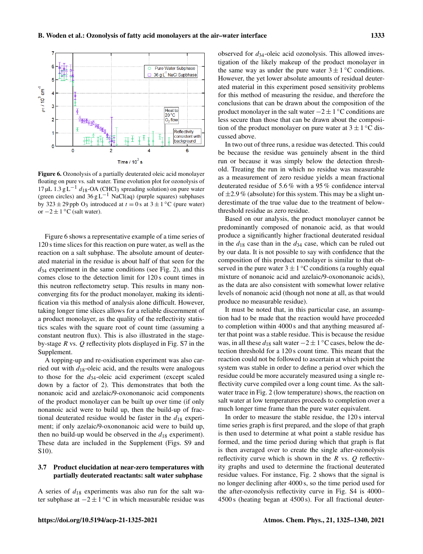

Figure 6. Ozonolysis of a partially deuterated oleic acid monolayer floating on pure vs. salt water. Time evolution plot for ozonolysis of 17 µL 1.3 g L<sup>-1</sup>  $d_{18}$ -OA (CHCl<sub>3</sub> spreading solution) on pure water (green circles) and  $36 \text{ g L}^{-1}$  NaCl(aq) (purple squares) subphases by  $323 \pm 29$  ppb O<sub>3</sub> introduced at  $t = 0$  s at  $3 \pm 1$  °C (pure water) or  $-2 \pm 1$  °C (salt water).

Figure 6 shows a representative example of a time series of 120 s time slices for this reaction on pure water, as well as the reaction on a salt subphase. The absolute amount of deuterated material in the residue is about half of that seen for the  $d_{34}$  experiment in the same conditions (see Fig. 2), and this comes close to the detection limit for 120 s count times in this neutron reflectometry setup. This results in many nonconverging fits for the product monolayer, making its identification via this method of analysis alone difficult. However, taking longer time slices allows for a reliable discernment of a product monolayer, as the quality of the reflectivity statistics scales with the square root of count time (assuming a constant neutron flux). This is also illustrated in the stageby-stage  $R$  vs.  $Q$  reflectivity plots displayed in Fig. S7 in the Supplement.

A topping-up and re-oxidisation experiment was also carried out with  $d_{18}$ -oleic acid, and the results were analogous to those for the  $d_{34}$ -oleic acid experiment (except scaled down by a factor of 2). This demonstrates that both the nonanoic acid and azelaic/9-oxononanoic acid components of the product monolayer can be built up over time (if only nonanoic acid were to build up, then the build-up of fractional deuterated residue would be faster in the  $d_{18}$  experiment; if only azelaic/9-oxononanoic acid were to build up, then no build-up would be observed in the  $d_{18}$  experiment). These data are included in the Supplement (Figs. S9 and S10).

# 3.7 Product elucidation at near-zero temperatures with partially deuterated reactants: salt water subphase

A series of  $d_{18}$  experiments was also run for the salt water subphase at  $-2 \pm 1$  °C in which measurable residue was

observed for  $d_{34}$ -oleic acid ozonolysis. This allowed investigation of the likely makeup of the product monolayer in the same way as under the pure water  $3 \pm 1$  °C conditions. However, the yet lower absolute amounts of residual deuterated material in this experiment posed sensitivity problems for this method of measuring the residue, and therefore the conclusions that can be drawn about the composition of the product monolayer in the salt water  $-2 \pm 1$  °C conditions are less secure than those that can be drawn about the composition of the product monolayer on pure water at  $3 \pm 1$  °C discussed above.

In two out of three runs, a residue was detected. This could be because the residue was genuinely absent in the third run or because it was simply below the detection threshold. Treating the run in which no residue was measurable as a measurement of zero residue yields a mean fractional deuterated residue of 5.6 % with a 95 % confidence interval of  $\pm$ 2.9 % (absolute) for this system. This may be a slight underestimate of the true value due to the treatment of belowthreshold residue as zero residue.

Based on our analysis, the product monolayer cannot be predominantly composed of nonanoic acid, as that would produce a significantly higher fractional deuterated residual in the  $d_{18}$  case than in the  $d_{34}$  case, which can be ruled out by our data. It is not possible to say with confidence that the composition of this product monolayer is similar to that observed in the pure water  $3 \pm 1$  °C conditions (a roughly equal mixture of nonanoic acid and azelaic/9-oxononanoic acids), as the data are also consistent with somewhat lower relative levels of nonanoic acid (though not none at all, as that would produce no measurable residue).

It must be noted that, in this particular case, an assumption had to be made that the reaction would have proceeded to completion within 4000 s and that anything measured after that point was a stable residue. This is because the residue was, in all these  $d_{18}$  salt water  $-2 \pm 1$  °C cases, below the detection threshold for a 120 s count time. This meant that the reaction could not be followed to ascertain at which point the system was stable in order to define a period over which the residue could be more accurately measured using a single reflectivity curve compiled over a long count time. As the saltwater trace in Fig. 2 (low temperature) shows, the reaction on salt water at low temperatures proceeds to completion over a much longer time frame than the pure water equivalent.

In order to measure the stable residue, the 120 s interval time series graph is first prepared, and the slope of that graph is then used to determine at what point a stable residue has formed, and the time period during which that graph is flat is then averaged over to create the single after-ozonolysis reflectivity curve which is shown in the  $R$  vs.  $Q$  reflectivity graphs and used to determine the fractional deuterated residue values. For instance, Fig. 2 shows that the signal is no longer declining after 4000 s, so the time period used for the after-ozonolysis reflectivity curve in Fig. S4 is 4000– 4500 s (heating began at 4500 s). For all fractional deuter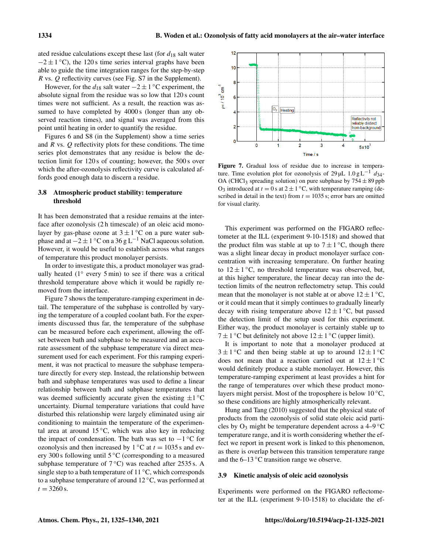ated residue calculations except these last (for  $d_{18}$  salt water  $-2 \pm 1$  °C), the 120 s time series interval graphs have been able to guide the time integration ranges for the step-by-step R vs. Q reflectivity curves (see Fig. S7 in the Supplement).

However, for the  $d_{18}$  salt water  $-2 \pm 1$  °C experiment, the absolute signal from the residue was so low that 120 s count times were not sufficient. As a result, the reaction was assumed to have completed by 4000 s (longer than any observed reaction times), and signal was averaged from this point until heating in order to quantify the residue.

Figures 6 and S8 (in the Supplement) show a time series and R vs. Q reflectivity plots for these conditions. The time series plot demonstrates that any residue is below the detection limit for 120 s of counting; however, the 500 s over which the after-ozonolysis reflectivity curve is calculated affords good enough data to discern a residue.

## 3.8 Atmospheric product stability: temperature threshold

It has been demonstrated that a residue remains at the interface after ozonolysis (2 h timescale) of an oleic acid monolayer by gas-phase ozone at  $3 \pm 1$  °C on a pure water subphase and at  $-2 \pm 1$  °C on a 36 g L<sup>-1</sup> NaCl aqueous solution. However, it would be useful to establish across what ranges of temperature this product monolayer persists.

In order to investigate this, a product monolayer was gradually heated (1° every 5 min) to see if there was a critical threshold temperature above which it would be rapidly removed from the interface.

Figure 7 shows the temperature-ramping experiment in detail. The temperature of the subphase is controlled by varying the temperature of a coupled coolant bath. For the experiments discussed thus far, the temperature of the subphase can be measured before each experiment, allowing the offset between bath and subphase to be measured and an accurate assessment of the subphase temperature via direct measurement used for each experiment. For this ramping experiment, it was not practical to measure the subphase temperature directly for every step. Instead, the relationship between bath and subphase temperatures was used to define a linear relationship between bath and subphase temperatures that was deemed sufficiently accurate given the existing  $\pm 1^{\circ}$ C uncertainty. Diurnal temperature variations that could have disturbed this relationship were largely eliminated using air conditioning to maintain the temperature of the experimental area at around  $15\,^{\circ}\text{C}$ , which was also key in reducing the impact of condensation. The bath was set to  $-1$ °C for ozonolysis and then increased by  $1 °C$  at  $t = 1035$  s and every 300 s following until 5 ◦C (corresponding to a measured subphase temperature of  $7^{\circ}$ C) was reached after 2535 s. A single step to a bath temperature of  $11 °C$ , which corresponds to a subphase temperature of around 12 ◦C, was performed at  $t = 3260$  s.



Figure 7. Gradual loss of residue due to increase in temperature. Time evolution plot for ozonolysis of 29 µL  $1.0 g L^{-1}$  d<sub>34</sub>-OA (CHCl<sub>3</sub> spreading solution) on pure subphase by  $754 \pm 89$  ppb O<sub>3</sub> introduced at  $t = 0$  s at  $2 \pm 1$  °C, with temperature ramping (described in detail in the text) from  $t = 1035$  s; error bars are omitted for visual clarity.

This experiment was performed on the FIGARO reflectometer at the ILL (experiment 9-10-1518) and showed that the product film was stable at up to  $7 \pm 1$  °C, though there was a slight linear decay in product monolayer surface concentration with increasing temperature. On further heating to  $12 \pm 1$  °C, no threshold temperature was observed, but, at this higher temperature, the linear decay ran into the detection limits of the neutron reflectometry setup. This could mean that the monolayer is not stable at or above  $12 \pm 1^{\circ}$ C, or it could mean that it simply continues to gradually linearly decay with rising temperature above  $12 \pm 1$  °C, but passed the detection limit of the setup used for this experiment. Either way, the product monolayer is certainly stable up to  $7 \pm 1$  °C but definitely not above  $12 \pm 1$  °C (upper limit).

It is important to note that a monolayer produced at  $3 \pm 1$  °C and then being stable at up to around  $12 \pm 1$  °C does not mean that a reaction carried out at  $12 \pm 1$  °C would definitely produce a stable monolayer. However, this temperature-ramping experiment at least provides a hint for the range of temperatures over which these product monolayers might persist. Most of the troposphere is below  $10^{\circ}$ C, so these conditions are highly atmospherically relevant.

Hung and Tang (2010) suggested that the physical state of products from the ozonolysis of solid state oleic acid particles by  $O_3$  might be temperature dependent across a 4–9 °C temperature range, and it is worth considering whether the effect we report in present work is linked to this phenomenon, as there is overlap between this transition temperature range and the 6–13 ◦C transition range we observe.

#### 3.9 Kinetic analysis of oleic acid ozonolysis

Experiments were performed on the FIGARO reflectometer at the ILL (experiment 9-10-1518) to elucidate the ef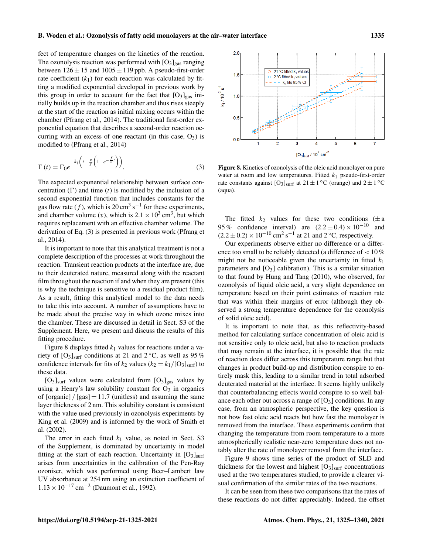fect of temperature changes on the kinetics of the reaction. The ozonolysis reaction was performed with  $[O<sub>3</sub>]<sub>gas</sub>$  ranging between  $126 \pm 15$  and  $1005 \pm 119$  ppb. A pseudo-first-order rate coefficient  $(k_1)$  for each reaction was calculated by fitting a modified exponential developed in previous work by this group in order to account for the fact that  $[O_3]_{\text{gas}}$  initially builds up in the reaction chamber and thus rises steeply at the start of the reaction as initial mixing occurs within the chamber (Pfrang et al., 2014). The traditional first-order exponential equation that describes a second-order reaction occurring with an excess of one reactant (in this case,  $O_3$ ) is modified to (Pfrang et al., 2014)

$$
\Gamma(t) = \Gamma_0 e^{-k_1 \left(t - \frac{v}{f} \left(1 - e^{-\frac{f}{v}t}\right)\right)}.
$$
\n(3)

The expected exponential relationship between surface concentration  $(\Gamma)$  and time  $(t)$  is modified by the inclusion of a second exponential function that includes constants for the gas flow rate (f), which is 20 cm<sup>3</sup> s<sup>-1</sup> for these experiments, and chamber volume (*v*), which is  $2.1 \times 10^3$  cm<sup>3</sup>, but which requires replacement with an effective chamber volume. The derivation of Eq. (3) is presented in previous work (Pfrang et al., 2014).

It is important to note that this analytical treatment is not a complete description of the processes at work throughout the reaction. Transient reaction products at the interface are, due to their deuterated nature, measured along with the reactant film throughout the reaction if and when they are present (this is why the technique is sensitive to a residual product film). As a result, fitting this analytical model to the data needs to take this into account. A number of assumptions have to be made about the precise way in which ozone mixes into the chamber. These are discussed in detail in Sect. S3 of the Supplement. Here, we present and discuss the results of this fitting procedure.

Figure 8 displays fitted  $k_1$  values for reactions under a variety of  $[O_3]_{\text{surf}}$  conditions at 21 and 2 °C, as well as 95 % confidence intervals for fits of  $k_2$  values ( $k_2 = k_1/[\text{O}_3]_{\text{surf}}$ ) to these data.

 $[O_3]_{\text{surf}}$  values were calculated from  $[O_3]_{\text{gas}}$  values by using a Henry's law solubility constant for  $O_3$  in organics of  $\left[$  organic $\right]$  /  $\left[$  gas $\right]$  = 11.7 (unitless) and assuming the same layer thickness of 2 nm. This solubility constant is consistent with the value used previously in ozonolysis experiments by King et al. (2009) and is informed by the work of Smith et al. (2002).

The error in each fitted  $k_1$  value, as noted in Sect. S3 of the Supplement, is dominated by uncertainty in model fitting at the start of each reaction. Uncertainty in  $[O_3]_{\text{surf}}$ arises from uncertainties in the calibration of the Pen-Ray ozoniser, which was performed using Beer–Lambert law UV absorbance at 254 nm using an extinction coefficient of 1.13 × 10−<sup>17</sup> cm−<sup>2</sup> (Daumont et al., 1992).



Figure 8. Kinetics of ozonolysis of the oleic acid monolayer on pure water at room and low temperatures. Fitted  $k_1$  pseudo-first-order rate constants against  $[O_3]_{\text{surf}}$  at  $21 \pm 1$  °C (orange) and  $2 \pm 1$  °C (aqua).

The fitted  $k_2$  values for these two conditions ( $\pm$  a 95 % confidence interval) are  $(2.2 \pm 0.4) \times 10^{-10}$  and  $(2.2 \pm 0.2) \times 10^{-10}$  cm<sup>2</sup> s<sup>-1</sup> at 21 and 2 °C, respectively.

Our experiments observe either no difference or a difference too small to be reliably detected (a difference of < 10 % might not be noticeable given the uncertainty in fitted  $k_1$ parameters and  $[O_3]$  calibration). This is a similar situation to that found by Hung and Tang (2010), who observed, for ozonolysis of liquid oleic acid, a very slight dependence on temperature based on their point estimates of reaction rate that was within their margins of error (although they observed a strong temperature dependence for the ozonolysis of solid oleic acid).

It is important to note that, as this reflectivity-based method for calculating surface concentration of oleic acid is not sensitive only to oleic acid, but also to reaction products that may remain at the interface, it is possible that the rate of reaction does differ across this temperature range but that changes in product build-up and distribution conspire to entirely mask this, leading to a similar trend in total adsorbed deuterated material at the interface. It seems highly unlikely that counterbalancing effects would conspire to so well balance each other out across a range of  $[O_3]$  conditions. In any case, from an atmospheric perspective, the key question is not how fast oleic acid reacts but how fast the monolayer is removed from the interface. These experiments confirm that changing the temperature from room temperature to a more atmospherically realistic near-zero temperature does not notably alter the rate of monolayer removal from the interface.

Figure 9 shows time series of the product of SLD and thickness for the lowest and highest  $[O_3]_{\text{surf}}$  concentrations used at the two temperatures studied, to provide a clearer visual confirmation of the similar rates of the two reactions.

It can be seen from these two comparisons that the rates of these reactions do not differ appreciably. Indeed, the offset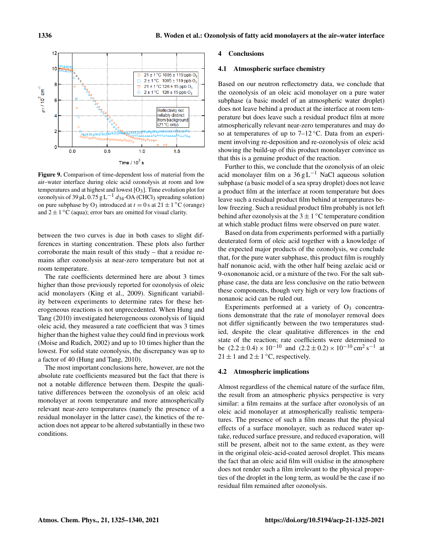

Figure 9. Comparison of time-dependent loss of material from the air–water interface during oleic acid ozonolysis at room and low temperatures and at highest and lowest  $[O_3]$ . Time evolution plot for ozonolysis of 39 µL  $0.75$  g L<sup>-1</sup> d<sub>34</sub>-OA (CHCl<sub>3</sub> spreading solution) on pure subphase by O<sub>3</sub> introduced at  $t = 0$  s at  $21 \pm 1$  °C (orange) and  $2 \pm 1$  °C (aqua); error bars are omitted for visual clarity.

between the two curves is due in both cases to slight differences in starting concentration. These plots also further corroborate the main result of this study – that a residue remains after ozonolysis at near-zero temperature but not at room temperature.

The rate coefficients determined here are about 3 times higher than those previously reported for ozonolysis of oleic acid monolayers (King et al., 2009). Significant variability between experiments to determine rates for these heterogeneous reactions is not unprecedented. When Hung and Tang (2010) investigated heterogeneous ozonolysis of liquid oleic acid, they measured a rate coefficient that was 3 times higher than the highest value they could find in previous work (Moise and Rudich, 2002) and up to 10 times higher than the lowest. For solid state ozonolysis, the discrepancy was up to a factor of 40 (Hung and Tang, 2010).

The most important conclusions here, however, are not the absolute rate coefficients measured but the fact that there is not a notable difference between them. Despite the qualitative differences between the ozonolysis of an oleic acid monolayer at room temperature and more atmospherically relevant near-zero temperatures (namely the presence of a residual monolayer in the latter case), the kinetics of the reaction does not appear to be altered substantially in these two conditions.

#### 4 Conclusions

#### 4.1 Atmospheric surface chemistry

Based on our neutron reflectometry data, we conclude that the ozonolysis of an oleic acid monolayer on a pure water subphase (a basic model of an atmospheric water droplet) does not leave behind a product at the interface at room temperature but does leave such a residual product film at more atmospherically relevant near-zero temperatures and may do so at temperatures of up to  $7-12\degree$ C. Data from an experiment involving re-deposition and re-ozonolysis of oleic acid showing the build-up of this product monolayer convince us that this is a genuine product of the reaction.

Further to this, we conclude that the ozonolysis of an oleic acid monolayer film on a  $36 \text{ g L}^{-1}$  NaCl aqueous solution subphase (a basic model of a sea spray droplet) does not leave a product film at the interface at room temperature but does leave such a residual product film behind at temperatures below freezing. Such a residual product film probably is not left behind after ozonolysis at the  $3 \pm 1$  °C temperature condition at which stable product films were observed on pure water.

Based on data from experiments performed with a partially deuterated form of oleic acid together with a knowledge of the expected major products of the ozonolysis, we conclude that, for the pure water subphase, this product film is roughly half nonanoic acid, with the other half being azelaic acid or 9-oxononanoic acid, or a mixture of the two. For the salt subphase case, the data are less conclusive on the ratio between these components, though very high or very low fractions of nonanoic acid can be ruled out.

Experiments performed at a variety of  $O_3$  concentrations demonstrate that the rate of monolayer removal does not differ significantly between the two temperatures studied, despite the clear qualitative differences in the end state of the reaction; rate coefficients were determined to be  $(2.2 \pm 0.4) \times 10^{-10}$  and  $(2.2 \pm 0.2) \times 10^{-10}$  cm<sup>2</sup> s<sup>-1</sup> at  $21 \pm 1$  and  $2 \pm 1$  °C, respectively.

# 4.2 Atmospheric implications

Almost regardless of the chemical nature of the surface film, the result from an atmospheric physics perspective is very similar: a film remains at the surface after ozonolysis of an oleic acid monolayer at atmospherically realistic temperatures. The presence of such a film means that the physical effects of a surface monolayer, such as reduced water uptake, reduced surface pressure, and reduced evaporation, will still be present, albeit not to the same extent, as they were in the original oleic-acid-coated aerosol droplet. This means the fact that an oleic acid film will oxidise in the atmosphere does not render such a film irrelevant to the physical properties of the droplet in the long term, as would be the case if no residual film remained after ozonolysis.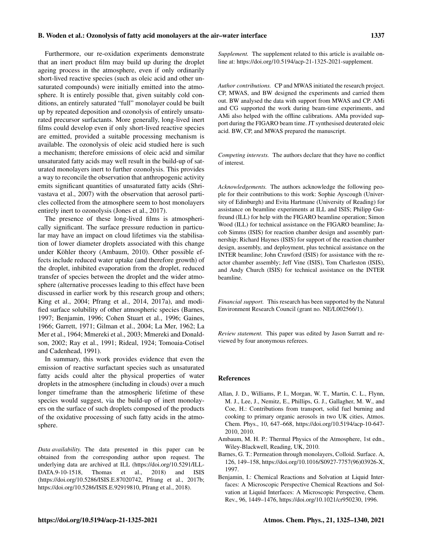#### B. Woden et al.: Ozonolysis of fatty acid monolayers at the air–water interface 1337

Furthermore, our re-oxidation experiments demonstrate that an inert product film may build up during the droplet ageing process in the atmosphere, even if only ordinarily short-lived reactive species (such as oleic acid and other unsaturated compounds) were initially emitted into the atmosphere. It is entirely possible that, given suitably cold conditions, an entirely saturated "full" monolayer could be built up by repeated deposition and ozonolysis of entirely unsaturated precursor surfactants. More generally, long-lived inert films could develop even if only short-lived reactive species are emitted, provided a suitable processing mechanism is available. The ozonolysis of oleic acid studied here is such a mechanism; therefore emissions of oleic acid and similar unsaturated fatty acids may well result in the build-up of saturated monolayers inert to further ozonolysis. This provides a way to reconcile the observation that anthropogenic activity emits significant quantities of unsaturated fatty acids (Shrivastava et al., 2007) with the observation that aerosol particles collected from the atmosphere seem to host monolayers entirely inert to ozonolysis (Jones et al., 2017).

The presence of these long-lived films is atmospherically significant. The surface pressure reduction in particular may have an impact on cloud lifetimes via the stabilisation of lower diameter droplets associated with this change under Köhler theory (Ambaum, 2010). Other possible effects include reduced water uptake (and therefore growth) of the droplet, inhibited evaporation from the droplet, reduced transfer of species between the droplet and the wider atmosphere (alternative processes leading to this effect have been discussed in earlier work by this research group and others; King et al., 2004; Pfrang et al., 2014, 2017a), and modified surface solubility of other atmospheric species (Barnes, 1997; Benjamin, 1996; Cohen Stuart et al., 1996; Gaines, 1966; Garrett, 1971; Gilman et al., 2004; La Mer, 1962; La Mer et al., 1964; Mmereki et al., 2003; Mmereki and Donaldson, 2002; Ray et al., 1991; Rideal, 1924; Tomoaia-Cotisel and Cadenhead, 1991).

In summary, this work provides evidence that even the emission of reactive surfactant species such as unsaturated fatty acids could alter the physical properties of water droplets in the atmosphere (including in clouds) over a much longer timeframe than the atmospheric lifetime of these species would suggest, via the build-up of inert monolayers on the surface of such droplets composed of the products of the oxidative processing of such fatty acids in the atmosphere.

*Data availability.* The data presented in this paper can be obtained from the corresponding author upon request. The underlying data are archived at ILL (https://doi.org/10.5291/ILL-DATA.9-10-1518, Thomas et al., 2018) and ISIS [DATA.9-10-1518,](https://doi.org/10.5291/ILL-DATA.9-10-1518) Thomas et al., 2018) and ISIS (https://doi.org[/10.5286/ISIS.E.87020742,](https://doi.org/10.5286/ISIS.E.87020742) Pfrang et al., 2017b; https://doi.org[/10.5286/ISIS.E.92919810,](https://doi.org/10.5286/ISIS.E.92919810) Pfrang et al., 2018).

*Supplement.* The supplement related to this article is available online at: [https://doi.org/10.5194/acp-21-1325-2021-supplement.](https://doi.org/10.5194/acp-21-1325-2021-supplement)

*Author contributions.* CP and MWAS initiated the research project. CP, MWAS, and BW designed the experiments and carried them out. BW analysed the data with support from MWAS and CP. AMi and CG supported the work during beam-time experiments, and AMi also helped with the offline calibrations. AMa provided support during the FIGARO beam time. JT synthesised deuterated oleic acid. BW, CP, and MWAS prepared the manuscript.

*Competing interests.* The authors declare that they have no conflict of interest.

*Acknowledgements.* The authors acknowledge the following people for their contributions to this work: Sophie Ayscough (University of Edinburgh) and Evita Hartmane (University of Reading) for assistance on beamline experiments at ILL and ISIS; Philipp Gutfreund (ILL) for help with the FIGARO beamline operation; Simon Wood (ILL) for technical assistance on the FIGARO beamline; Jacob Simms (ISIS) for reaction chamber design and assembly partnership; Richard Haynes (ISIS) for support of the reaction chamber design, assembly, and deployment, plus technical assistance on the INTER beamline; John Crawford (ISIS) for assistance with the reactor chamber assembly; Jeff Vine (ISIS), Tom Charleston (ISIS), and Andy Church (ISIS) for technical assistance on the INTER beamline.

*Financial support.* This research has been supported by the Natural Environment Research Council (grant no. NE/L002566/1).

*Review statement.* This paper was edited by Jason Surratt and reviewed by four anonymous referees.

## References

- Allan, J. D., Williams, P. I., Morgan, W. T., Martin, C. L., Flynn, M. J., Lee, J., Nemitz, E., Phillips, G. J., Gallagher, M. W., and Coe, H.: Contributions from transport, solid fuel burning and cooking to primary organic aerosols in two UK cities, Atmos. Chem. Phys., 10, 647–668, https://doi.org[/10.5194/acp-10-647-](https://doi.org/10.5194/acp-10-647-2010) [2010,](https://doi.org/10.5194/acp-10-647-2010) 2010.
- Ambaum, M. H. P.: Thermal Physics of the Atmosphere, 1st edn., Wiley-Blackwell, Reading, UK, 2010.
- Barnes, G. T.: Permeation through monolayers, Colloid. Surface. A, 126, 149–158, https://doi.org[/10.1016/S0927-7757\(96\)03926-X,](https://doi.org/10.1016/S0927-7757(96)03926-X) 1997.
- Benjamin, I.: Chemical Reactions and Solvation at Liquid Interfaces: A Microscopic Perspective Chemical Reactions and Solvation at Liquid Interfaces: A Microscopic Perspective, Chem. Rev., 96, 1449–1476, https://doi.org[/10.1021/cr950230,](https://doi.org/10.1021/cr950230) 1996.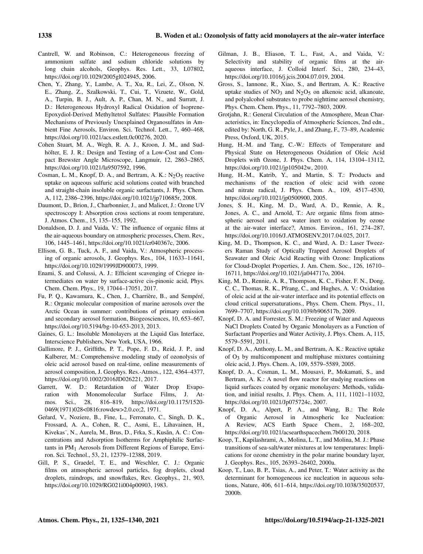- Cantrell, W. and Robinson, C.: Heterogeneous freezing of ammonium sulfate and sodium chloride solutions by long chain alcohols, Geophys. Res. Lett., 33, L07802, https://doi.org[/10.1029/2005gl024945,](https://doi.org/10.1029/2005gl024945) 2006.
- Chen, Y., Zhang, Y., Lambe, A. T., Xu, R., Lei, Z., Olson, N. E., Zhang, Z., Szalkowski, T., Cui, T., Vizuete, W., Gold, A., Turpin, B. J., Ault, A. P., Chan, M. N., and Surratt, J. D.: Heterogeneous Hydroxyl Radical Oxidation of Isoprene-Epoxydiol-Derived Methyltetrol Sulfates: Plausible Formation Mechanisms of Previously Unexplained Organosulfates in Ambient Fine Aerosols, Environ. Sci. Technol. Lett., 7, 460–468, https://doi.org[/10.1021/acs.estlett.0c00276,](https://doi.org/10.1021/acs.estlett.0c00276) 2020.
- Cohen Stuart, M. A., Wegh, R. A. J., Kroon, J. M., and Sudhölter, E. J. R.: Design and Testing of a Low-Cost and Compact Brewster Angle Microscope, Langmuir, 12, 2863–2865, https://doi.org[/10.1021/la9507592,](https://doi.org/10.1021/la9507592) 1996.
- Cosman, L. M., Knopf, D. A., and Bertram, A. K.:  $N_2O_5$  reactive uptake on aqueous sulfuric acid solutions coated with branched and straight-chain insoluble organic surfactants, J. Phys. Chem. A, 112, 2386–2396, https://doi.org[/10.1021/jp710685r,](https://doi.org/10.1021/jp710685r) 2008.
- Daumont, D., Brion, J., Charbonnier, J., and Malicet, J.: Ozone UV spectroscopy I: Absorption cross sections at room temperature, J. Atmos. Chem., 15, 135–155, 1992.
- Donaldson, D. J. and Vaida, V.: The influence of organic films at the air-aqueous boundary on atmospheric processes, Chem. Rev., 106, 1445–1461, https://doi.org[/10.1021/cr040367c,](https://doi.org/10.1021/cr040367c) 2006.
- Ellison, G. B., Tuck, A. F., and Vaida, V.: Atmospheric processing of organic aerosols, J. Geophys. Res., 104, 11633–11641, https://doi.org[/10.1029/1999JD900073,](https://doi.org/10.1029/1999JD900073) 1999.
- Enami, S. and Colussi, A. J.: Efficient scavenging of Criegee intermediates on water by surface-active cis-pinonic acid, Phys. Chem. Chem. Phys., 19, 17044–17051, 2017.
- Fu, P. Q., Kawamura, K., Chen, J., Charrière, B., and Sempéré, R.: Organic molecular composition of marine aerosols over the Arctic Ocean in summer: contributions of primary emission and secondary aerosol formation, Biogeosciences, 10, 653–667, https://doi.org[/10.5194/bg-10-653-2013,](https://doi.org/10.5194/bg-10-653-2013) 2013.
- Gaines, G. L.: Insoluble Monolayers at the Liquid Gas Interface, Interscience Publishers, New York, USA, 1966.
- Gallimore, P. J., Griffiths, P. T., Pope, F. D., Reid, J. P., and Kalberer, M.: Comprehensive modeling study of ozonolysis of oleic acid aerosol based on real-time, online measurements of aerosol composition, J. Geophys. Res.-Atmos., 122, 4364–4377, https://doi.org[/10.1002/2016JD026221,](https://doi.org/10.1002/2016JD026221) 2017.
- Garrett, W. D.: Retardation of Water Drop Evaporation with Monomolecular Surface Films, J. Atmos. Sci., 28, 816–819, https://doi.org[/10.1175/1520-](https://doi.org/10.1175/1520-0469(1971)028<0816:rowdew>2.0.co;2) [0469\(1971\)028<0816:rowdew>2.0.co;2,](https://doi.org/10.1175/1520-0469(1971)028<0816:rowdew>2.0.co;2) 1971.
- Gefard, V., Noziere, B., Fine, L., Ferronato, C., Singh, D. K., Frossard, A. A., Cohen, R. C., Asmi, E., Lihavainen, H., Kivekas", N., Aurela, M., Brus, D., Frka, S., Kusǎn, A. C.: Concentrations and Adsorption Isotherms for Amphiphilic Surfactants in PM1 Aerosols from Different Regions of Europe, Environ. Sci. Technol., 53, 21, 12379–12388, 2019.
- Gill, P. S., Graedel, T. E., and Weschler, C. J.: Organic films on atmospheric aerosol particles, fog droplets, cloud droplets, raindrops, and snowflakes, Rev. Geophys., 21, 903, https://doi.org[/10.1029/RG021i004p00903,](https://doi.org/10.1029/RG021i004p00903) 1983.
- Gilman, J. B., Eliason, T. L., Fast, A., and Vaida, V.: Selectivity and stability of organic films at the airaqueous interface, J. Colloid Interf. Sci., 280, 234–43, https://doi.org[/10.1016/j.jcis.2004.07.019,](https://doi.org/10.1016/j.jcis.2004.07.019) 2004.
- Gross, S., Iannone, R., Xiao, S., and Bertram, A. K.: Reactive uptake studies of  $NO_3$  and  $N_2O_5$  on alkenoic acid, alkanoate, and polyalcohol substrates to probe nighttime aerosol chemistry, Phys. Chem. Chem. Phys., 11, 7792–7803, 2009.
- Grotjahn, R.: General Circulation of the Atmosphere, Mean Characteristics, in: Encyclopedia of Atmospheric Sciences, 2nd edn., edited by: North, G. R., Pyle, J., and Zhang, F., 73–89, Academic Press, Oxford, UK, 2015.
- Hung, H.-M. and Tang, C.-W.: Effects of Temperature and Physical State on Heterogeneous Oxidation of Oleic Acid Droplets with Ozone, J. Phys. Chem. A, 114, 13104–13112, https://doi.org[/10.1021/jp105042w,](https://doi.org/10.1021/jp105042w) 2010.
- Hung, H.-M., Katrib, Y., and Martin, S. T.: Products and mechanisms of the reaction of oleic acid with ozone and nitrate radical, J. Phys. Chem. A., 109, 4517–4530, https://doi.org[/10.1021/jp0500900,](https://doi.org/10.1021/jp0500900) 2005.
- Jones, S. H., King, M. D., Ward, A. D., Rennie, A. R., Jones, A. C., and Arnold, T.: Are organic films from atmospheric aerosol and sea water inert to oxidation by ozone at the air-water interface?, Atmos. Environ., 161, 274–287, https://doi.org[/10.1016/J.ATMOSENV.2017.04.025,](https://doi.org/10.1016/J.ATMOSENV.2017.04.025) 2017.
- King, M. D., Thompson, K. C., and Ward, A. D.: Laser Tweezers Raman Study of Optically Trapped Aerosol Droplets of Seawater and Oleic Acid Reacting with Ozone: Implications for Cloud-Droplet Properties, J. Am. Chem. Soc., 126, 16710– 16711, https://doi.org[/10.1021/ja044717o,](https://doi.org/10.1021/ja044717o) 2004.
- King, M. D., Rennie, A. R., Thompson, K. C., Fisher, F. N., Dong, C. C., Thomas, R. K., Pfrang, C., and Hughes, A. V.: Oxidation of oleic acid at the air-water interface and its potential effects on cloud critical supersaturations., Phys. Chem. Chem. Phys., 11, 7699–7707, https://doi.org[/10.1039/b906517b,](https://doi.org/10.1039/b906517b) 2009.
- Knopf, D. A. and Forrester, S. M.: Freezing of Water and Aqueous NaCl Droplets Coated by Organic Monolayers as a Function of Surfactant Properties and Water Activity, J. Phys. Chem. A, 115, 5579–5591, 2011.
- Knopf, D. A., Anthony, L. M., and Bertram, A. K.: Reactive uptake of  $O_3$  by multicomponent and multiphase mixtures containing oleic acid, J. Phys. Chem. A, 109, 5579–5589, 2005.
- Knopf, D. A., Cosman, L. M., Mousavi, P., Mokamati, S., and Bertram, A. K.: A novel flow reactor for studying reactions on liquid surfaces coated by organic monolayers: Methods, validation, and initial results, J. Phys. Chem. A, 111, 11021–11032, https://doi.org[/10.1021/Jp075724c,](https://doi.org/10.1021/Jp075724c) 2007.
- Knopf, D. A., Alpert, P. A., and Wang, B.: The Role of Organic Aerosol in Atmospheric Ice Nucleation: A Review, ACS Earth Space Chem., 2, 168–202, https://doi.org[/10.1021/acsearthspacechem.7b00120,](https://doi.org/10.1021/acsearthspacechem.7b00120) 2018.
- Koop, T., Kapilashrami, A., Molina, L. T., and Molina, M. J.: Phase transitions of sea-salt/water mixtures at low temperatures: Implications for ozone chemistry in the polar marine boundary layer, J. Geophys. Res., 105, 26393–26402, 2000a.
- Koop, T., Luo, B. P., Tsias, A., and Peter, T.: Water activity as the determinant for homogeneous ice nucleation in aqueous solutions, Nature, 406, 611–614, https://doi.org[/10.1038/35020537,](https://doi.org/10.1038/35020537) 2000b.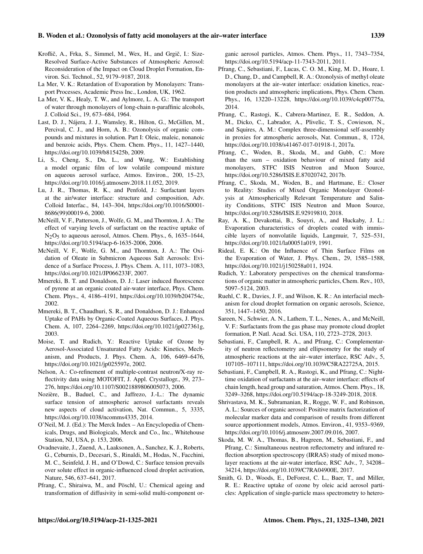## B. Woden et al.: Ozonolysis of fatty acid monolayers at the air–water interface 1339

- Kroflič, A., Frka, S., Simmel, M., Wex, H., and Grgič, I.: Size-Resolved Surface-Active Substances of Atmospheric Aerosol: Reconsideration of the Impact on Cloud Droplet Formation, Environ. Sci. Technol., 52, 9179–9187, 2018.
- La Mer, V. K.: Retardation of Evaporation by Monolayers: Transport Processes, Academic Press Inc., London, UK, 1962.
- La Mer, V. K., Healy, T. W., and Aylmore, L. A. G.: The transport of water through monolayers of long-chain n-paraffinic alcohols, J. Colloid Sci., 19, 673–684, 1964.
- Last, D. J., Nájera, J. J., Wamsley, R., Hilton, G., McGillen, M., Percival, C. J., and Horn, A. B.: Ozonolysis of organic compounds and mixtures in solution. Part I: Oleic, maleic, nonanoic and benzoic acids, Phys. Chem. Chem. Phys., 11, 1427–1440, https://doi.org[/10.1039/b815425b,](https://doi.org/10.1039/b815425b) 2009.
- Li, S., Cheng, S., Du, L., and Wang, W.: Establishing a model organic film of low volatile compound mixture on aqueous aerosol surface, Atmos. Environ., 200, 15–23, https://doi.org[/10.1016/j.atmosenv.2018.11.052,](https://doi.org/10.1016/j.atmosenv.2018.11.052) 2019.
- Lu, J. R., Thomas, R. K., and Penfold, J.: Surfactant layers at the air/water interface: structure and composition, Adv. Colloid Interfac., 84, 143–304, https://doi.org[/10.1016/S0001-](https://doi.org/10.1016/S0001-8686(99)00019-6) [8686\(99\)00019-6,](https://doi.org/10.1016/S0001-8686(99)00019-6) 2000.
- McNeill, V. F., Patterson, J., Wolfe, G. M., and Thornton, J. A.: The effect of varying levels of surfactant on the reactive uptake of N2O5 to aqueous aerosol, Atmos. Chem. Phys., 6, 1635–1644, https://doi.org[/10.5194/acp-6-1635-2006,](https://doi.org/10.5194/acp-6-1635-2006) 2006.
- McNeill, V. F., Wolfe, G. M., and Thornton, J. A.: The Oxidation of Oleate in Submicron Aqueous Salt Aerosols: Evidence of a Surface Process, J. Phys. Chem. A, 111, 1073–1083, https://doi.org[/10.1021/JP066233F,](https://doi.org/10.1021/JP066233F) 2007.
- Mmereki, B. T. and Donaldson, D. J.: Laser induced fluorescence of pyrene at an organic coated air-water interface, Phys. Chem. Chem. Phys., 4, 4186–4191, https://doi.org[/10.1039/b204754c,](https://doi.org/10.1039/b204754c) 2002.
- Mmereki, B. T., Chaudhuri, S. R., and Donaldson, D. J.: Enhanced Uptake of PAHs by Organic-Coated Aqueous Surfaces, J. Phys. Chem. A, 107, 2264–2269, https://doi.org[/10.1021/jp027361g,](https://doi.org/10.1021/jp027361g) 2003.
- Moise, T. and Rudich, Y.: Reactive Uptake of Ozone by Aerosol-Associated Unsaturated Fatty Acids: Kinetics, Mechanism, and Products, J. Phys. Chem. A, 106, 6469–6476, https://doi.org[/10.1021/jp025597e,](https://doi.org/10.1021/jp025597e) 2002.
- Nelson, A.: Co-refinement of multiple-contrast neutron/X-ray reflectivity data using MOTOFIT, J. Appl. Crystallogr., 39, 273– 276, https://doi.org[/10.1107/S0021889806005073,](https://doi.org/10.1107/S0021889806005073) 2006.
- Nozière, B., Baduel, C., and Jaffrezo, J.-L.: The dynamic surface tension of atmospheric aerosol surfactants reveals new aspects of cloud activation, Nat. Commun., 5, 3335, https://doi.org[/10.1038/ncomms4335,](https://doi.org/10.1038/ncomms4335) 2014.
- O'Neil, M. J. (Ed.): The Merck Index An Encyclopedia of Chemicals, Drugs, and Biologicals, Merck and Co., Inc., Whitehouse Station, NJ, USA, p. 153, 2006.
- Ovadnevaite, J., Zuend, A., Laaksonen, A., Sanchez, K. J., Roberts, G., Ceburnis, D., Decesari, S., Rinaldi, M., Hodas, N., Facchini, M. C., Seinfeld, J. H., and O'Dowd, C.: Surface tension prevails over solute effect in organic-influenced cloud droplet activation, Nature, 546, 637–641, 2017.
- Pfrang, C., Shiraiwa, M., and Pöschl, U.: Chemical ageing and transformation of diffusivity in semi-solid multi-component or-

ganic aerosol particles, Atmos. Chem. Phys., 11, 7343–7354, https://doi.org[/10.5194/acp-11-7343-2011,](https://doi.org/10.5194/acp-11-7343-2011) 2011.

- Pfrang, C., Sebastiani, F., Lucas, C. O. M., King, M. D., Hoare, I. D., Chang, D., and Campbell, R. A.: Ozonolysis of methyl oleate monolayers at the air–water interface: oxidation kinetics, reaction products and atmospheric implications, Phys. Chem. Chem. Phys., 16, 13220–13228, https://doi.org[/10.1039/c4cp00775a,](https://doi.org/10.1039/c4cp00775a) 2014.
- Pfrang, C., Rastogi, K., Cabrera-Martinez, E. R., Seddon, A. M., Dicko, C., Labrador, A., Plivelic, T. S., Cowieson, N., and Squires, A. M.: Complex three-dimensional self-assembly in proxies for atmospheric aerosols, Nat. Commun., 8, 1724, https://doi.org[/10.1038/s41467-017-01918-1,](https://doi.org/10.1038/s41467-017-01918-1) 2017a.
- Pfrang, C., Woden, B., Skoda, M., and Gubb, C.: More than the sum – oxidation behaviour of mixed fatty acid monolayers, STFC ISIS Neutron and Muon Source, https://doi.org[/10.5286/ISIS.E.87020742,](https://doi.org/10.5286/ISIS.E.87020742) 2017b.
- Pfrang, C., Skoda, M., Woden, B., and Hartmane, E.: Closer to Reality: Studies of Mixed Organic Monolayer Ozonolysis at Atmospherically Relevant Temperature and Salinity Conditions, STFC ISIS Neutron and Muon Source, https://doi.org[/10.5286/ISIS.E.92919810,](https://doi.org/10.5286/ISIS.E.92919810) 2018.
- Ray, A. K., Devakottai, B., Souyri, A., and Huckaby, J. L.: Evaporation characteristics of droplets coated with immiscible layers of nonvolatile liquids, Langmuir, 7, 525–531, https://doi.org[/10.1021/la00051a019,](https://doi.org/10.1021/la00051a019) 1991.
- Rideal, E. K.: On the Influence of Thin Surface Films on the Evaporation of Water, J. Phys. Chem., 29, 1585–1588, https://doi.org[/10.1021/j150258a011,](https://doi.org/10.1021/j150258a011) 1924.
- Rudich, Y.: Laboratory perspectives on the chemical transformations of organic matter in atmospheric particles, Chem. Rev., 103, 5097–5124, 2003.
- Ruehl, C. R., Davies, J. F., and Wilson, K. R.: An interfacial mechanism for cloud droplet formation on organic aerosols, Science, 351, 1447–1450, 2016.
- Sareen, N., Schwier, A. N., Lathem, T. L., Nenes, A., and McNeill, V. F.: Surfactants from the gas phase may promote cloud droplet formation, P. Natl. Acad. Sci. USA, 110, 2723–2728, 2013.
- Sebastiani, F., Campbell, R. A., and Pfrang, C.: Complementarity of neutron reflectometry and ellipsometry for the study of atmospheric reactions at the air–water interface, RSC Adv., 5, 107105–107111, https://doi.org[/10.1039/C5RA22725A,](https://doi.org/10.1039/C5RA22725A) 2015.
- Sebastiani, F., Campbell, R. A., Rastogi, K., and Pfrang, C.: Nighttime oxidation of surfactants at the air–water interface: effects of chain length, head group and saturation, Atmos. Chem. Phys., 18, 3249–3268, https://doi.org[/10.5194/acp-18-3249-2018,](https://doi.org/10.5194/acp-18-3249-2018) 2018.
- Shrivastava, M. K., Subramanian, R., Rogge, W. F., and Robinson, A. L.: Sources of organic aerosol: Positive matrix factorization of molecular marker data and comparison of results from different source apportionment models, Atmos. Environ., 41, 9353–9369, https://doi.org[/10.1016/j.atmosenv.2007.09.016,](https://doi.org/10.1016/j.atmosenv.2007.09.016) 2007.
- Skoda, M. W. A., Thomas, B., Hagreen, M., Sebastiani, F., and Pfrang, C.: Simultaneous neutron reflectometry and infrared reflection absorption spectroscopy (IRRAS) study of mixed monolayer reactions at the air-water interface, RSC Adv., 7, 34208– 34214, https://doi.org[/10.1039/C7RA04900E,](https://doi.org/10.1039/C7RA04900E) 2017.
- Smith, G. D., Woods, E., DeForest, C. L., Baer, T., and Miller, R. E.: Reactive uptake of ozone by oleic acid aerosol particles: Application of single-particle mass spectrometry to hetero-